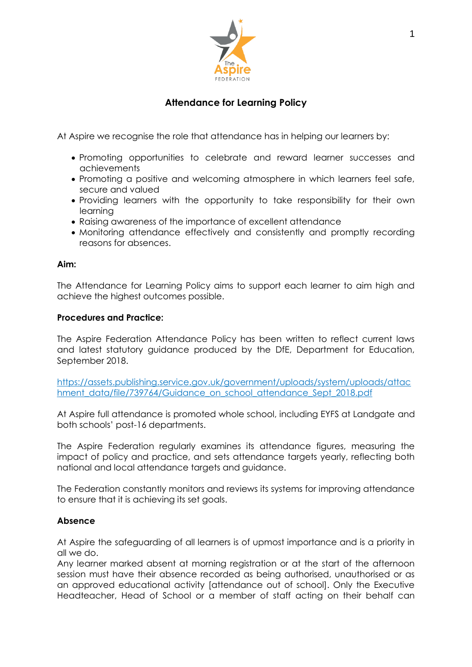

# **Attendance for Learning Policy**

At Aspire we recognise the role that attendance has in helping our learners by:

- Promoting opportunities to celebrate and reward learner successes and achievements
- Promoting a positive and welcoming atmosphere in which learners feel safe, secure and valued
- Providing learners with the opportunity to take responsibility for their own learning
- Raising awareness of the importance of excellent attendance
- Monitoring attendance effectively and consistently and promptly recording reasons for absences.

#### **Aim:**

The Attendance for Learning Policy aims to support each learner to aim high and achieve the highest outcomes possible.

#### **Procedures and Practice:**

The Aspire Federation Attendance Policy has been written to reflect current laws and latest statutory guidance produced by the DfE, Department for Education, September 2018.

https://assets.publishing.service.gov.uk/government/uploads/system/uploads/attac hment\_data/file/739764/Guidance\_on\_school\_attendance\_Sept\_2018.pdf

At Aspire full attendance is promoted whole school, including EYFS at Landgate and both schools' post-16 departments.

The Aspire Federation regularly examines its attendance figures, measuring the impact of policy and practice, and sets attendance targets yearly, reflecting both national and local attendance targets and guidance.

The Federation constantly monitors and reviews its systems for improving attendance to ensure that it is achieving its set goals.

## **Absence**

At Aspire the safeguarding of all learners is of upmost importance and is a priority in all we do.

Any learner marked absent at morning registration or at the start of the afternoon session must have their absence recorded as being authorised, unauthorised or as an approved educational activity [attendance out of school]. Only the Executive Headteacher, Head of School or a member of staff acting on their behalf can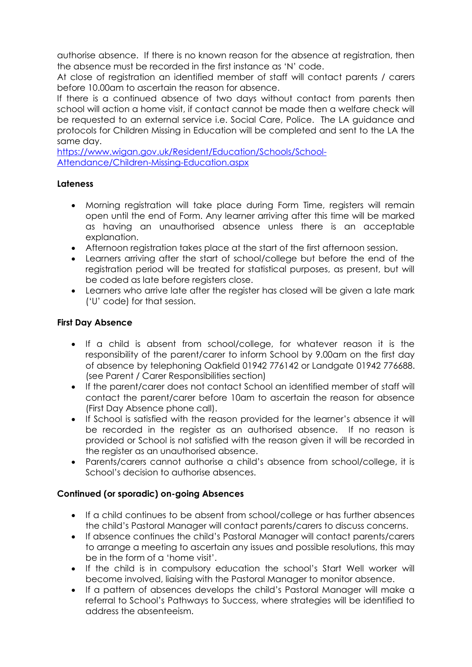authorise absence. If there is no known reason for the absence at registration, then the absence must be recorded in the first instance as 'N' code.

At close of registration an identified member of staff will contact parents / carers before 10.00am to ascertain the reason for absence.

If there is a continued absence of two days without contact from parents then school will action a home visit, if contact cannot be made then a welfare check will be requested to an external service i.e. Social Care, Police. The LA guidance and protocols for Children Missing in Education will be completed and sent to the LA the same day.

[https://www.wigan.gov.uk/Resident/Education/Schools/School-](https://www.wigan.gov.uk/Resident/Education/Schools/School-Attendance/Children-Missing-Education.aspx)[Attendance/Children-Missing-Education.aspx](https://www.wigan.gov.uk/Resident/Education/Schools/School-Attendance/Children-Missing-Education.aspx)

## **Lateness**

- Morning registration will take place during Form Time, registers will remain open until the end of Form. Any learner arriving after this time will be marked as having an unauthorised absence unless there is an acceptable explanation.
- Afternoon registration takes place at the start of the first afternoon session.
- Learners arriving after the start of school/college but before the end of the registration period will be treated for statistical purposes, as present, but will be coded as late before registers close.
- Learners who arrive late after the register has closed will be given a late mark ('U' code) for that session.

## **First Day Absence**

- If a child is absent from school/college, for whatever reason it is the responsibility of the parent/carer to inform School by 9.00am on the first day of absence by telephoning Oakfield 01942 776142 or Landgate 01942 776688. (see Parent / Carer Responsibilities section)
- If the parent/carer does not contact School an identified member of staff will contact the parent/carer before 10am to ascertain the reason for absence (First Day Absence phone call).
- If School is satisfied with the reason provided for the learner's absence it will be recorded in the register as an authorised absence. If no reason is provided or School is not satisfied with the reason given it will be recorded in the register as an unauthorised absence.
- Parents/carers cannot authorise a child's absence from school/college, it is School's decision to authorise absences.

# **Continued (or sporadic) on-going Absences**

- If a child continues to be absent from school/college or has further absences the child's Pastoral Manager will contact parents/carers to discuss concerns.
- If absence continues the child's Pastoral Manager will contact parents/carers to arrange a meeting to ascertain any issues and possible resolutions, this may be in the form of a 'home visit'.
- If the child is in compulsory education the school's Start Well worker will become involved, liaising with the Pastoral Manager to monitor absence.
- If a pattern of absences develops the child's Pastoral Manager will make a referral to School's Pathways to Success, where strategies will be identified to address the absenteeism.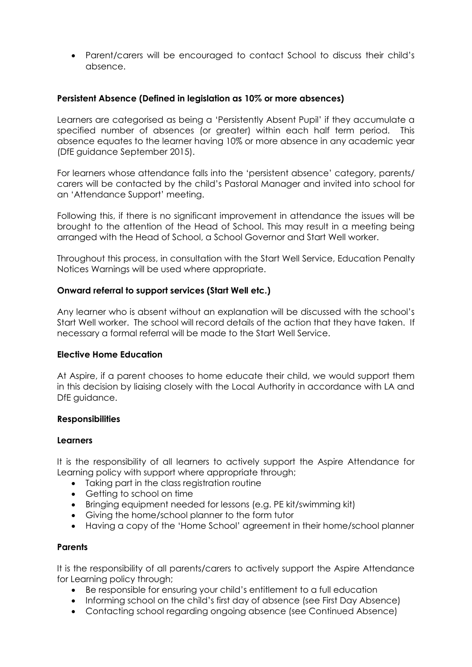• Parent/carers will be encouraged to contact School to discuss their child's absence.

#### **Persistent Absence (Defined in legislation as 10% or more absences)**

Learners are categorised as being a 'Persistently Absent Pupil' if they accumulate a specified number of absences (or greater) within each half term period. This absence equates to the learner having 10% or more absence in any academic year (DfE guidance September 2015).

For learners whose attendance falls into the 'persistent absence' category, parents/ carers will be contacted by the child's Pastoral Manager and invited into school for an 'Attendance Support' meeting.

Following this, if there is no significant improvement in attendance the issues will be brought to the attention of the Head of School. This may result in a meeting being arranged with the Head of School, a School Governor and Start Well worker.

Throughout this process, in consultation with the Start Well Service, Education Penalty Notices Warnings will be used where appropriate.

#### **Onward referral to support services (Start Well etc.)**

Any learner who is absent without an explanation will be discussed with the school's Start Well worker. The school will record details of the action that they have taken. If necessary a formal referral will be made to the Start Well Service.

#### **Elective Home Education**

At Aspire, if a parent chooses to home educate their child, we would support them in this decision by liaising closely with the Local Authority in accordance with LA and DfE guidance.

#### **Responsibilities**

#### **Learners**

It is the responsibility of all learners to actively support the Aspire Attendance for Learning policy with support where appropriate through;

- Taking part in the class reaistration routine
- Getting to school on time
- Bringing equipment needed for lessons (e.g. PE kit/swimming kit)
- Giving the home/school planner to the form tutor
- Having a copy of the 'Home School' agreement in their home/school planner

#### **Parents**

It is the responsibility of all parents/carers to actively support the Aspire Attendance for Learning policy through;

- Be responsible for ensuring your child's entitlement to a full education
- Informing school on the child's first day of absence (see First Day Absence)
- Contacting school regarding ongoing absence (see Continued Absence)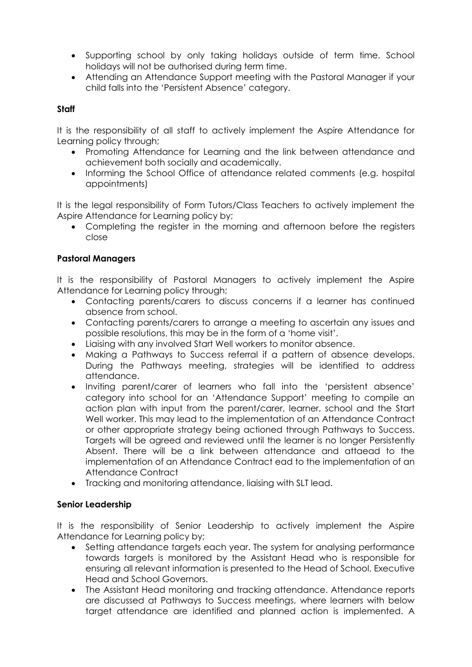- Supporting school by only taking holidays outside of term time. School holidays will not be authorised during term time.
- Attending an Attendance Support meeting with the Pastoral Manager if your child falls into the 'Persistent Absence' category.

## **Staff**

It is the responsibility of all staff to actively implement the Aspire Attendance for Learning policy through;

- Promoting Attendance for Learning and the link between attendance and achievement both socially and academically.
- Informing the School Office of attendance related comments (e.g. hospital appointments)

It is the legal responsibility of Form Tutors/Class Teachers to actively implement the Aspire Attendance for Learning policy by;

• Completing the register in the morning and afternoon before the registers close

## **Pastoral Managers**

It is the responsibility of Pastoral Managers to actively implement the Aspire Attendance for Learning policy through;

- Contacting parents/carers to discuss concerns if a learner has continued absence from school.
- Contacting parents/carers to arrange a meeting to ascertain any issues and possible resolutions, this may be in the form of a 'home visit'.
- Liaising with any involved Start Well workers to monitor absence.
- Making a Pathways to Success referral if a pattern of absence develops. During the Pathways meeting, strategies will be identified to address attendance.
- Inviting parent/carer of learners who fall into the 'persistent absence' category into school for an 'Attendance Support' meeting to compile an action plan with input from the parent/carer, learner, school and the Start Well worker. This may lead to the implementation of an Attendance Contract or other appropriate strategy being actioned through Pathways to Success. Targets will be agreed and reviewed until the learner is no longer Persistently Absent. There will be a link between attendance and attaead to the implementation of an Attendance Contract ead to the implementation of an Attendance Contract
- Tracking and monitoring attendance, liaising with SLT lead.

## **Senior Leadership**

It is the responsibility of Senior Leadership to actively implement the Aspire Attendance for Learning policy by;

- Setting attendance targets each year. The system for analysing performance towards targets is monitored by the Assistant Head who is responsible for ensuring all relevant information is presented to the Head of School, Executive Head and School Governors.
- The Assistant Head monitoring and tracking attendance. Attendance reports are discussed at Pathways to Success meetings, where learners with below target attendance are identified and planned action is implemented. A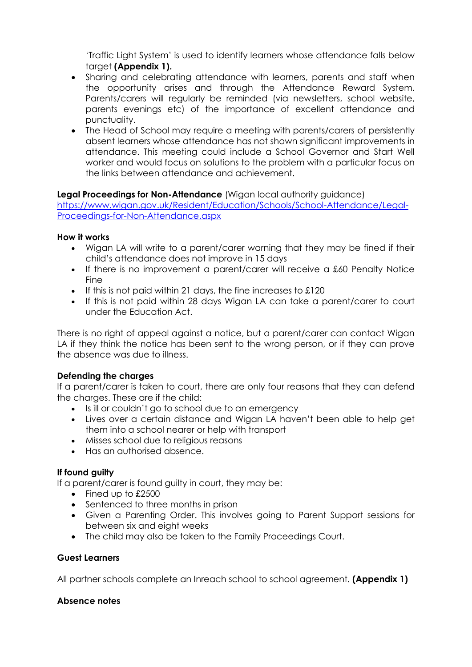'Traffic Light System' is used to identify learners whose attendance falls below target **(Appendix 1).**

- Sharing and celebrating attendance with learners, parents and staff when the opportunity arises and through the Attendance Reward System. Parents/carers will regularly be reminded (via newsletters, school website, parents evenings etc) of the importance of excellent attendance and punctuality.
- The Head of School may require a meeting with parents/carers of persistently absent learners whose attendance has not shown significant improvements in attendance. This meeting could include a School Governor and Start Well worker and would focus on solutions to the problem with a particular focus on the links between attendance and achievement.

## **Legal Proceedings for Non-Attendance** (Wigan local authority guidance)

[https://www.wigan.gov.uk/Resident/Education/Schools/School-Attendance/Legal-](https://www.wigan.gov.uk/Resident/Education/Schools/School-Attendance/Legal-Proceedings-for-Non-Attendance.aspx)[Proceedings-for-Non-Attendance.aspx](https://www.wigan.gov.uk/Resident/Education/Schools/School-Attendance/Legal-Proceedings-for-Non-Attendance.aspx)

## **How it works**

- Wigan LA will write to a parent/carer warning that they may be fined if their child's attendance does not improve in 15 days
- If there is no improvement a parent/carer will receive a £60 Penalty Notice Fine
- If this is not paid within 21 days, the fine increases to £120
- If this is not paid within 28 days Wigan LA can take a parent/carer to court under the Education Act.

There is no right of appeal against a notice, but a parent/carer can contact Wigan LA if they think the notice has been sent to the wrong person, or if they can prove the absence was due to illness.

## **Defending the charges**

If a parent/carer is taken to court, there are only four reasons that they can defend the charges. These are if the child:

- Is ill or couldn't go to school due to an emergency
- Lives over a certain distance and Wigan LA haven't been able to help get them into a school nearer or help with transport
- Misses school due to religious reasons
- Has an authorised absence.

## **If found guilty**

If a parent/carer is found guilty in court, they may be:

- Fined up to £2500
- Sentenced to three months in prison
- Given a Parenting Order. This involves going to Parent Support sessions for between six and eight weeks
- The child may also be taken to the Family Proceedings Court.

#### **Guest Learners**

All partner schools complete an Inreach school to school agreement. **(Appendix 1)**

#### **Absence notes**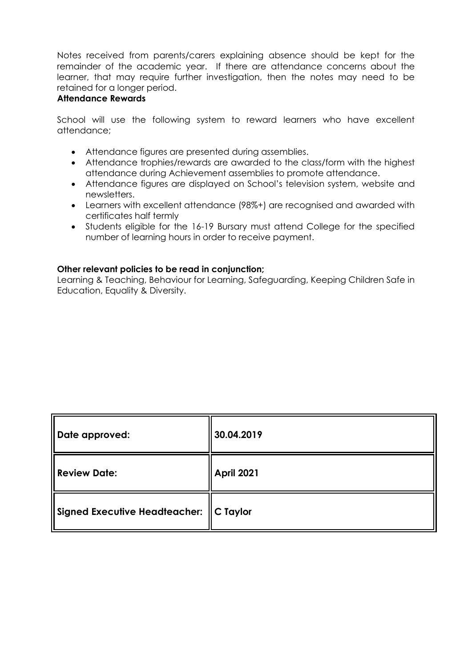Notes received from parents/carers explaining absence should be kept for the remainder of the academic year. If there are attendance concerns about the learner, that may require further investigation, then the notes may need to be retained for a longer period.

#### **Attendance Rewards**

School will use the following system to reward learners who have excellent attendance;

- Attendance figures are presented during assemblies.
- Attendance trophies/rewards are awarded to the class/form with the highest attendance during Achievement assemblies to promote attendance.
- Attendance figures are displayed on School's television system, website and newsletters.
- Learners with excellent attendance (98%+) are recognised and awarded with certificates half termly
- Students eligible for the 16-19 Bursary must attend College for the specified number of learning hours in order to receive payment.

#### **Other relevant policies to be read in conjunction;**

Learning & Teaching, Behaviour for Learning, Safeguarding, Keeping Children Safe in Education, Equality & Diversity.

| Date approved:                            | 30.04.2019        |
|-------------------------------------------|-------------------|
| <b>Review Date:</b>                       | <b>April 2021</b> |
| Signed Executive Headteacher:    C Taylor |                   |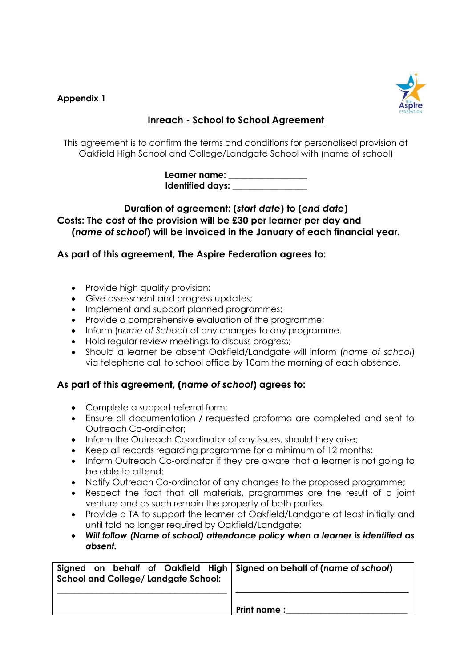## **Appendix 1**



# **Inreach - School to School Agreement**

This agreement is to confirm the terms and conditions for personalised provision at Oakfield High School and College/Landgate School with (name of school)

> **Learner name: \_\_\_\_\_\_\_\_\_\_\_\_\_\_\_\_\_\_ Identified days: \_\_\_\_\_\_\_\_\_\_\_\_\_\_\_\_\_**

## **Duration of agreement: (***start date***) to (***end date***) Costs: The cost of the provision will be £30 per learner per day and (***name of school***) will be invoiced in the January of each financial year.**

# **As part of this agreement, The Aspire Federation agrees to:**

- Provide high quality provision;
- Give assessment and progress updates;
- Implement and support planned programmes;
- Provide a comprehensive evaluation of the programme;
- Inform (*name of School*) of any changes to any programme.
- Hold regular review meetings to discuss progress;
- Should a learner be absent Oakfield/Landgate will inform (*name of school*) via telephone call to school office by 10am the morning of each absence.

# **As part of this agreement, (***name of school***) agrees to:**

- Complete a support referral form;
- Ensure all documentation / requested proforma are completed and sent to Outreach Co-ordinator;
- Inform the Outreach Coordinator of any issues, should they arise;
- Keep all records regarding programme for a minimum of 12 months;
- Inform Outreach Co-ordinator if they are aware that a learner is not going to be able to attend;
- Notify Outreach Co-ordinator of any changes to the proposed programme;
- Respect the fact that all materials, programmes are the result of a joint venture and as such remain the property of both parties.
- Provide a TA to support the learner at Oakfield/Landgate at least initially and until told no longer required by Oakfield/Landgate;
- *Will follow (Name of school) attendance policy when a learner is identified as absent.*

| Signed on behalf of Oakfield High Signed on behalf of (name of school)<br><b>School and College/ Landgate School:</b> |             |
|-----------------------------------------------------------------------------------------------------------------------|-------------|
|                                                                                                                       | Print name: |